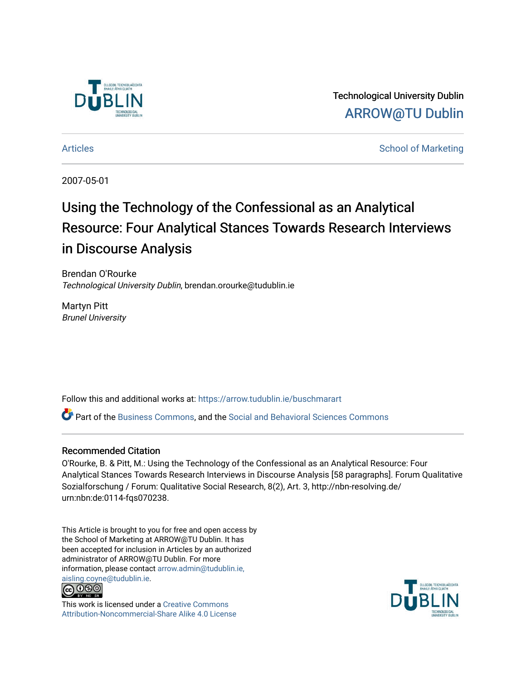

Technological University Dublin [ARROW@TU Dublin](https://arrow.tudublin.ie/) 

[Articles](https://arrow.tudublin.ie/buschmarart) **School of Marketing** 

2007-05-01

# Using the Technology of the Confessional as an Analytical Resource: Four Analytical Stances Towards Research Interviews in Discourse Analysis

Brendan O'Rourke Technological University Dublin, brendan.orourke@tudublin.ie

Martyn Pitt Brunel University

Follow this and additional works at: [https://arrow.tudublin.ie/buschmarart](https://arrow.tudublin.ie/buschmarart?utm_source=arrow.tudublin.ie%2Fbuschmarart%2F53&utm_medium=PDF&utm_campaign=PDFCoverPages) 

Part of the [Business Commons](http://network.bepress.com/hgg/discipline/622?utm_source=arrow.tudublin.ie%2Fbuschmarart%2F53&utm_medium=PDF&utm_campaign=PDFCoverPages), and the [Social and Behavioral Sciences Commons](http://network.bepress.com/hgg/discipline/316?utm_source=arrow.tudublin.ie%2Fbuschmarart%2F53&utm_medium=PDF&utm_campaign=PDFCoverPages) 

# Recommended Citation

O'Rourke, B. & Pitt, M.: Using the Technology of the Confessional as an Analytical Resource: Four Analytical Stances Towards Research Interviews in Discourse Analysis [58 paragraphs]. Forum Qualitative Sozialforschung / Forum: Qualitative Social Research, 8(2), Art. 3, http://nbn-resolving.de/ urn:nbn:de:0114-fqs070238.

This Article is brought to you for free and open access by the School of Marketing at ARROW@TU Dublin. It has been accepted for inclusion in Articles by an authorized administrator of ARROW@TU Dublin. For more information, please contact [arrow.admin@tudublin.ie,](mailto:arrow.admin@tudublin.ie,%20aisling.coyne@tudublin.ie)  [aisling.coyne@tudublin.ie.](mailto:arrow.admin@tudublin.ie,%20aisling.coyne@tudublin.ie)<br>@009



This work is licensed under a [Creative Commons](http://creativecommons.org/licenses/by-nc-sa/4.0/) [Attribution-Noncommercial-Share Alike 4.0 License](http://creativecommons.org/licenses/by-nc-sa/4.0/)

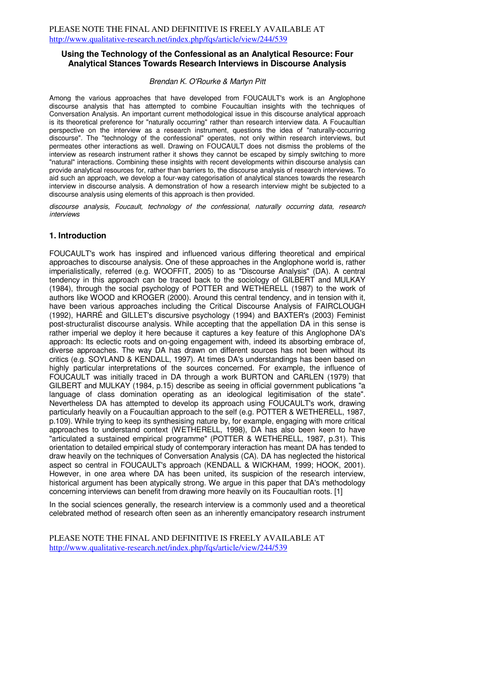#### **Using the Technology of the Confessional as an Analytical Resource: Four Analytical Stances Towards Research Interviews in Discourse Analysis**

#### Brendan K. O'Rourke & Martyn Pitt

Among the various approaches that have developed from FOUCAULT's work is an Anglophone discourse analysis that has attempted to combine Foucaultian insights with the techniques of Conversation Analysis. An important current methodological issue in this discourse analytical approach is its theoretical preference for "naturally occurring" rather than research interview data. A Foucaultian perspective on the interview as a research instrument, questions the idea of "naturally-occurring discourse". The "technology of the confessional" operates, not only within research interviews, but permeates other interactions as well. Drawing on FOUCAULT does not dismiss the problems of the interview as research instrument rather it shows they cannot be escaped by simply switching to more "natural" interactions. Combining these insights with recent developments within discourse analysis can provide analytical resources for, rather than barriers to, the discourse analysis of research interviews. To aid such an approach, we develop a four-way categorisation of analytical stances towards the research interview in discourse analysis. A demonstration of how a research interview might be subjected to a discourse analysis using elements of this approach is then provided.

discourse analysis, Foucault, technology of the confessional, naturally occurring data, research interviews

#### **1. Introduction**

FOUCAULT's work has inspired and influenced various differing theoretical and empirical approaches to discourse analysis. One of these approaches in the Anglophone world is, rather imperialistically, referred (e.g. WOOFFIT, 2005) to as "Discourse Analysis" (DA). A central tendency in this approach can be traced back to the sociology of GILBERT and MULKAY (1984), through the social psychology of POTTER and WETHERELL (1987) to the work of authors like WOOD and KROGER (2000). Around this central tendency, and in tension with it, have been various approaches including the Critical Discourse Analysis of FAIRCLOUGH (1992), HARRÉ and GILLET's discursive psychology (1994) and BAXTER's (2003) Feminist post-structuralist discourse analysis. While accepting that the appellation DA in this sense is rather imperial we deploy it here because it captures a key feature of this Anglophone DA's approach: Its eclectic roots and on-going engagement with, indeed its absorbing embrace of, diverse approaches. The way DA has drawn on different sources has not been without its critics (e.g. SOYLAND & KENDALL, 1997). At times DA's understandings has been based on highly particular interpretations of the sources concerned. For example, the influence of FOUCAULT was initially traced in DA through a work BURTON and CARLEN (1979) that GILBERT and MULKAY (1984, p.15) describe as seeing in official government publications "a language of class domination operating as an ideological legitimisation of the state". Nevertheless DA has attempted to develop its approach using FOUCAULT's work, drawing particularly heavily on a Foucaultian approach to the self (e.g. POTTER & WETHERELL, 1987, p.109). While trying to keep its synthesising nature by, for example, engaging with more critical approaches to understand context (WETHERELL, 1998), DA has also been keen to have "articulated a sustained empirical programme" (POTTER & WETHERELL, 1987, p.31). This orientation to detailed empirical study of contemporary interaction has meant DA has tended to draw heavily on the techniques of Conversation Analysis (CA). DA has neglected the historical aspect so central in FOUCAULT's approach (KENDALL & WICKHAM, 1999; HOOK, 2001). However, in one area where DA has been united, its suspicion of the research interview, historical argument has been atypically strong. We argue in this paper that DA's methodology concerning interviews can benefit from drawing more heavily on its Foucaultian roots. [1]

In the social sciences generally, the research interview is a commonly used and a theoretical celebrated method of research often seen as an inherently emancipatory research instrument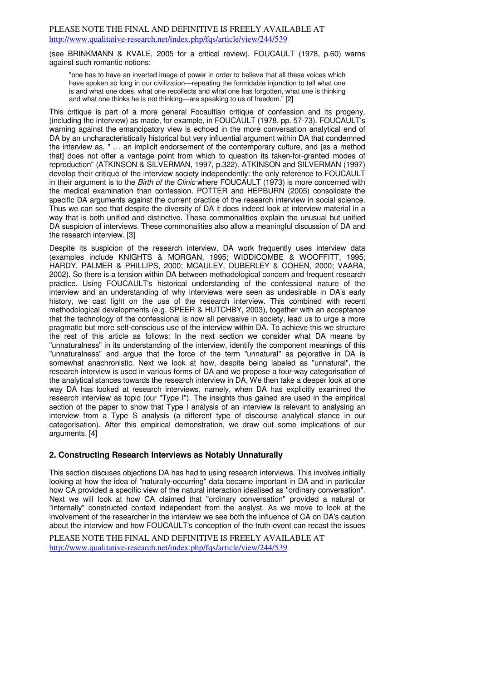(see BRINKMANN & KVALE, 2005 for a critical review). FOUCAULT (1978, p.60) warns against such romantic notions:

"one has to have an inverted image of power in order to believe that all these voices which have spoken so long in our civilization—repeating the formidable injunction to tell what one is and what one does, what one recollects and what one has forgotten, what one is thinking and what one thinks he is not thinking—are speaking to us of freedom." [2]

This critique is part of a more general Focaultian critique of confession and its progeny, (including the interview) as made, for example, in FOUCAULT (1978, pp. 57-73). FOUCAULT's warning against the emancipatory view is echoed in the more conversation analytical end of DA by an uncharacteristically historical but very influential argument within DA that condemned the interview as, " … an implicit endorsement of the contemporary culture, and [as a method that] does not offer a vantage point from which to question its taken-for-granted modes of reproduction" (ATKINSON & SILVERMAN, 1997, p.322). ATKINSON and SILVERMAN (1997) develop their critique of the interview society independently: the only reference to FOUCAULT in their argument is to the Birth of the Clinic where FOUCAULT (1973) is more concerned with the medical examination than confession. POTTER and HEPBURN (2005) consolidate the specific DA arguments against the current practice of the research interview in social science. Thus we can see that despite the diversity of DA it does indeed look at interview material in a way that is both unified and distinctive. These commonalities explain the unusual but unified DA suspicion of interviews. These commonalities also allow a meaningful discussion of DA and the research interview. [3]

Despite its suspicion of the research interview, DA work frequently uses interview data (examples include KNIGHTS & MORGAN, 1995; WIDDICOMBE & WOOFFITT, 1995; HARDY, PALMER & PHILLIPS, 2000; MCAULEY, DUBERLEY & COHEN, 2000; VAARA, 2002). So there is a tension within DA between methodological concern and frequent research practice. Using FOUCAULT's historical understanding of the confessional nature of the interview and an understanding of why interviews were seen as undesirable in DA's early history, we cast light on the use of the research interview. This combined with recent methodological developments (e.g. SPEER & HUTCHBY, 2003), together with an acceptance that the technology of the confessional is now all pervasive in society, lead us to urge a more pragmatic but more self-conscious use of the interview within DA. To achieve this we structure the rest of this article as follows: In the next section we consider what DA means by "unnaturalness" in its understanding of the interview, identify the component meanings of this "unnaturalness" and argue that the force of the term "unnatural" as pejorative in DA is somewhat anachronistic. Next we look at how, despite being labeled as "unnatural", the research interview is used in various forms of DA and we propose a four-way categorisation of the analytical stances towards the research interview in DA. We then take a deeper look at one way DA has looked at research interviews, namely, when DA has explicitly examined the research interview as topic (our "Type I"). The insights thus gained are used in the empirical section of the paper to show that Type I analysis of an interview is relevant to analysing an interview from a Type S analysis (a different type of discourse analytical stance in our categorisation). After this empirical demonstration, we draw out some implications of our arguments. [4]

# **2. Constructing Research Interviews as Notably Unnaturally**

This section discuses objections DA has had to using research interviews. This involves initially looking at how the idea of "naturally-occurring" data became important in DA and in particular how CA provided a specific view of the natural interaction idealised as "ordinary conversation". Next we will look at how CA claimed that "ordinary conversation" provided a natural or "internally" constructed context independent from the analyst. As we move to look at the involvement of the researcher in the interview we see both the influence of CA on DA's caution about the interview and how FOUCAULT's conception of the truth-event can recast the issues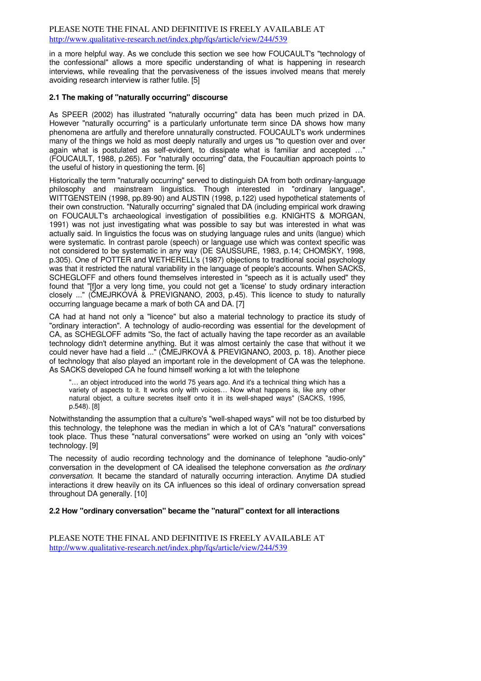in a more helpful way. As we conclude this section we see how FOUCAULT's "technology of the confessional" allows a more specific understanding of what is happening in research interviews, while revealing that the pervasiveness of the issues involved means that merely avoiding research interview is rather futile. [5]

# **2.1 The making of "naturally occurring" discourse**

As SPEER (2002) has illustrated "naturally occurring" data has been much prized in DA. However "naturally occurring" is a particularly unfortunate term since DA shows how many phenomena are artfully and therefore unnaturally constructed. FOUCAULT's work undermines many of the things we hold as most deeply naturally and urges us "to question over and over again what is postulated as self-evident, to dissipate what is familiar and accepted …" (FOUCAULT, 1988, p.265). For "naturally occurring" data, the Foucaultian approach points to the useful of history in questioning the term. [6]

Historically the term "naturally occurring" served to distinguish DA from both ordinary-language philosophy and mainstream linguistics. Though interested in "ordinary language", WITTGENSTEIN (1998, pp.89-90) and AUSTIN (1998, p.122) used hypothetical statements of their own construction. "Naturally occurring" signaled that DA (including empirical work drawing on FOUCAULT's archaeological investigation of possibilities e.g. KNIGHTS & MORGAN, 1991) was not just investigating what was possible to say but was interested in what was actually said. In linguistics the focus was on studying language rules and units (langue) which were systematic. In contrast parole (speech) or language use which was context specific was not considered to be systematic in any way (DE SAUSSURE, 1983, p.14; CHOMSKY, 1998, p.305). One of POTTER and WETHERELL's (1987) objections to traditional social psychology was that it restricted the natural variability in the language of people's accounts. When SACKS, SCHEGLOFF and others found themselves interested in "speech as it is actually used" they found that "[f]or a very long time, you could not get a 'license' to study ordinary interaction closely ..." (ČMEJRKOVÁ & PREVIGNANO, 2003, p.45). This licence to study to naturally occurring language became a mark of both CA and DA. [7]

CA had at hand not only a "licence" but also a material technology to practice its study of "ordinary interaction". A technology of audio-recording was essential for the development of CA, as SCHEGLOFF admits "So, the fact of actually having the tape recorder as an available technology didn't determine anything. But it was almost certainly the case that without it we could never have had a field ..." (ČMEJRKOVÁ & PREVIGNANO, 2003, p. 18). Another piece of technology that also played an important role in the development of CA was the telephone. As SACKS developed CA he found himself working a lot with the telephone

"… an object introduced into the world 75 years ago. And it's a technical thing which has a variety of aspects to it. It works only with voices… Now what happens is, like any other natural object, a culture secretes itself onto it in its well-shaped ways" (SACKS, 1995, p.548). [8]

Notwithstanding the assumption that a culture's "well-shaped ways" will not be too disturbed by this technology, the telephone was the median in which a lot of CA's "natural" conversations took place. Thus these "natural conversations" were worked on using an "only with voices" technology. [9]

The necessity of audio recording technology and the dominance of telephone "audio-only" conversation in the development of CA idealised the telephone conversation as the ordinary conversation. It became the standard of naturally occurring interaction. Anytime DA studied interactions it drew heavily on its CA influences so this ideal of ordinary conversation spread throughout DA generally. [10]

#### **2.2 How "ordinary conversation" became the "natural" context for all interactions**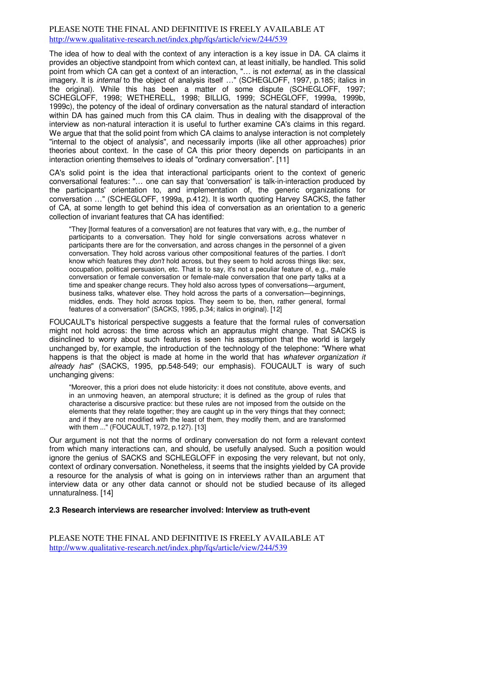The idea of how to deal with the context of any interaction is a key issue in DA. CA claims it provides an objective standpoint from which context can, at least initially, be handled. This solid point from which CA can get a context of an interaction, "... is not external, as in the classical imagery. It is *internal* to the object of analysis itself ..." (SCHEGLOFF, 1997, p.185; italics in the original). While this has been a matter of some dispute (SCHEGLOFF, 1997; SCHEGLOFF, 1998; WETHERELL, 1998; BILLIG, 1999; SCHEGLOFF, 1999a, 1999b, 1999c), the potency of the ideal of ordinary conversation as the natural standard of interaction within DA has gained much from this CA claim. Thus in dealing with the disapproval of the interview as non-natural interaction it is useful to further examine CA's claims in this regard. We argue that that the solid point from which CA claims to analyse interaction is not completely "internal to the object of analysis", and necessarily imports (like all other approaches) prior theories about context. In the case of CA this prior theory depends on participants in an interaction orienting themselves to ideals of "ordinary conversation". [11]

CA's solid point is the idea that interactional participants orient to the context of generic conversational features: "… one can say that 'conversation' is talk-in-interaction produced by the participants' orientation to, and implementation of, the generic organizations for conversation …" (SCHEGLOFF, 1999a, p.412). It is worth quoting Harvey SACKS, the father of CA, at some length to get behind this idea of conversation as an orientation to a generic collection of invariant features that CA has identified:

"They [formal features of a conversation] are not features that vary with, e.g., the number of participants to a conversation. They hold for single conversations across whatever n participants there are for the conversation, and across changes in the personnel of a given conversation. They hold across various other compositional features of the parties. I don't know which features they don't hold across, but they seem to hold across things like: sex, occupation, political persuasion, etc. That is to say, it's not a peculiar feature of, e.g., male conversation or female conversation or female-male conversation that one party talks at a time and speaker change recurs. They hold also across types of conversations—argument, business talks, whatever else. They hold across the parts of a conversation—beginnings, middles, ends. They hold across topics. They seem to be, then, rather general, formal features of a conversation" (SACKS, 1995, p.34; italics in original). [12]

FOUCAULT's historical perspective suggests a feature that the formal rules of conversation might not hold across: the time across which an apprautus might change. That SACKS is disinclined to worry about such features is seen his assumption that the world is largely unchanged by, for example, the introduction of the technology of the telephone: "Where what happens is that the object is made at home in the world that has whatever organization it already has" (SACKS, 1995, pp.548-549; our emphasis). FOUCAULT is wary of such unchanging givens:

"Moreover, this a priori does not elude historicity: it does not constitute, above events, and in an unmoving heaven, an atemporal structure; it is defined as the group of rules that characterise a discursive practice: but these rules are not imposed from the outside on the elements that they relate together; they are caught up in the very things that they connect; and if they are not modified with the least of them, they modify them, and are transformed with them ..." (FOUCAULT, 1972, p.127). [13]

Our argument is not that the norms of ordinary conversation do not form a relevant context from which many interactions can, and should, be usefully analysed. Such a position would ignore the genius of SACKS and SCHLEGLOFF in exposing the very relevant, but not only, context of ordinary conversation. Nonetheless, it seems that the insights yielded by CA provide a resource for the analysis of what is going on in interviews rather than an argument that interview data or any other data cannot or should not be studied because of its alleged unnaturalness. [14]

#### **2.3 Research interviews are researcher involved: Interview as truth-event**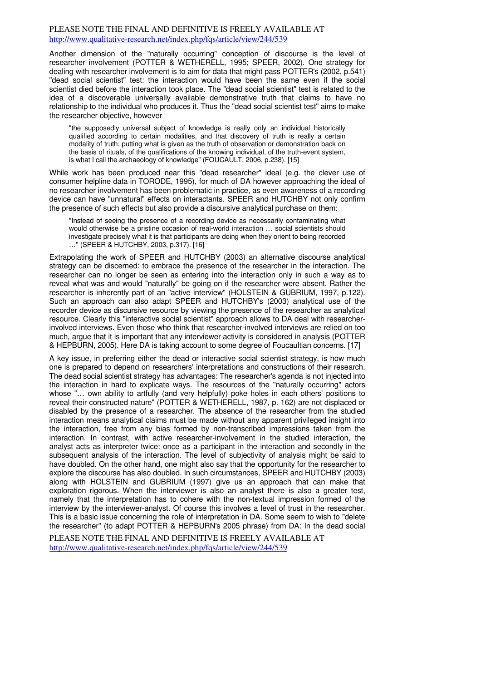Another dimension of the "naturally occurring" conception of discourse is the level of researcher involvement (POTTER & WETHERELL, 1995; SPEER, 2002). One strategy for dealing with researcher involvement is to aim for data that might pass POTTER's (2002, p.541) "dead social scientist" test: the interaction would have been the same even if the social scientist died before the interaction took place. The "dead social scientist" test is related to the idea of a discoverable universally available demonstrative truth that claims to have no relationship to the individual who produces it. Thus the "dead social scientist test" aims to make the researcher objective, however

"the supposedly universal subject of knowledge is really only an individual historically qualified according to certain modalities, and that discovery of truth is really a certain modality of truth; putting what is given as the truth of observation or demonstration back on the basis of rituals, of the qualifications of the knowing individual, of the truth-event system, is what I call the archaeology of knowledge" (FOUCAULT, 2006, p.238). [15]

While work has been produced near this "dead researcher" ideal (e.g. the clever use of consumer helpline data in TORODE, 1995), for much of DA however approaching the ideal of no researcher involvement has been problematic in practice, as even awareness of a recording device can have "unnatural" effects on interactants. SPEER and HUTCHBY not only confirm the presence of such effects but also provide a discursive analytical purchase on them:

"Instead of seeing the presence of a recording device as necessarily contaminating what would otherwise be a pristine occasion of real-world interaction … social scientists should investigate precisely what it is that participants are doing when they orient to being recorded …" (SPEER & HUTCHBY, 2003, p.317). [16]

Extrapolating the work of SPEER and HUTCHBY (2003) an alternative discourse analytical strategy can be discerned: to embrace the presence of the researcher in the interaction. The researcher can no longer be seen as entering into the interaction only in such a way as to reveal what was and would "naturally" be going on if the researcher were absent. Rather the researcher is inherently part of an "active interview" (HOLSTEIN & GUBRIUM, 1997, p.122). Such an approach can also adapt SPEER and HUTCHBY's (2003) analytical use of the recorder device as discursive resource by viewing the presence of the researcher as analytical resource. Clearly this "interactive social scientist" approach allows to DA deal with researcherinvolved interviews. Even those who think that researcher-involved interviews are relied on too much, argue that it is important that any interviewer activity is considered in analysis (POTTER & HEPBURN, 2005). Here DA is taking account to some degree of Foucaultian concerns. [17]

A key issue, in preferring either the dead or interactive social scientist strategy, is how much one is prepared to depend on researchers' interpretations and constructions of their research. The dead social scientist strategy has advantages: The researcher's agenda is not injected into the interaction in hard to explicate ways. The resources of the "naturally occurring" actors whose "… own ability to artfully (and very helpfully) poke holes in each others' positions to reveal their constructed nature" (POTTER & WETHERELL, 1987, p. 162) are not displaced or disabled by the presence of a researcher. The absence of the researcher from the studied interaction means analytical claims must be made without any apparent privileged insight into the interaction, free from any bias formed by non-transcribed impressions taken from the interaction. In contrast, with active researcher-involvement in the studied interaction, the analyst acts as interpreter twice: once as a participant in the interaction and secondly in the subsequent analysis of the interaction. The level of subjectivity of analysis might be said to have doubled. On the other hand, one might also say that the opportunity for the researcher to explore the discourse has also doubled. In such circumstances, SPEER and HUTCHBY (2003) along with HOLSTEIN and GUBRIUM (1997) give us an approach that can make that exploration rigorous. When the interviewer is also an analyst there is also a greater test, namely that the interpretation has to cohere with the non-textual impression formed of the interview by the interviewer-analyst. Of course this involves a level of trust in the researcher. This is a basic issue concerning the role of interpretation in DA. Some seem to wish to "delete the researcher" (to adapt POTTER & HEPBURN's 2005 phrase) from DA: In the dead social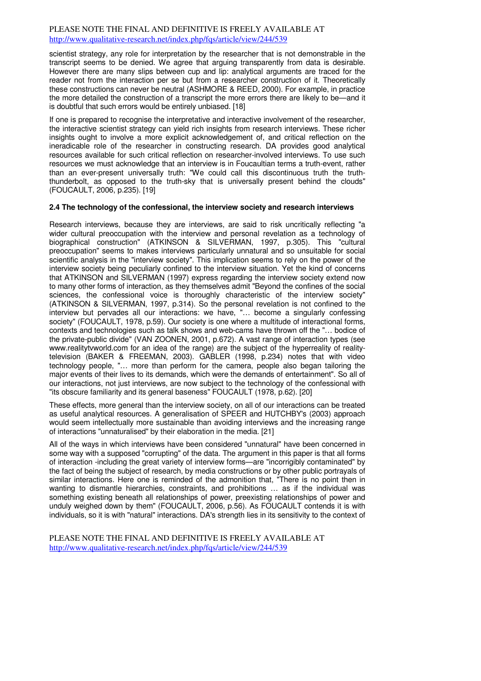scientist strategy, any role for interpretation by the researcher that is not demonstrable in the transcript seems to be denied. We agree that arguing transparently from data is desirable. However there are many slips between cup and lip: analytical arguments are traced for the reader not from the interaction per se but from a researcher construction of it. Theoretically these constructions can never be neutral (ASHMORE & REED, 2000). For example, in practice the more detailed the construction of a transcript the more errors there are likely to be—and it is doubtful that such errors would be entirely unbiased. [18]

If one is prepared to recognise the interpretative and interactive involvement of the researcher, the interactive scientist strategy can yield rich insights from research interviews. These richer insights ought to involve a more explicit acknowledgement of, and critical reflection on the ineradicable role of the researcher in constructing research. DA provides good analytical resources available for such critical reflection on researcher-involved interviews. To use such resources we must acknowledge that an interview is in Foucaultian terms a truth-event, rather than an ever-present universally truth: "We could call this discontinuous truth the truththunderbolt, as opposed to the truth-sky that is universally present behind the clouds" (FOUCAULT, 2006, p.235). [19]

## **2.4 The technology of the confessional, the interview society and research interviews**

Research interviews, because they are interviews, are said to risk uncritically reflecting "a wider cultural preoccupation with the interview and personal revelation as a technology of biographical construction" (ATKINSON & SILVERMAN, 1997, p.305). This "cultural preoccupation" seems to makes interviews particularly unnatural and so unsuitable for social scientific analysis in the "interview society". This implication seems to rely on the power of the interview society being peculiarly confined to the interview situation. Yet the kind of concerns that ATKINSON and SILVERMAN (1997) express regarding the interview society extend now to many other forms of interaction, as they themselves admit "Beyond the confines of the social sciences, the confessional voice is thoroughly characteristic of the interview society" (ATKINSON & SILVERMAN, 1997, p.314). So the personal revelation is not confined to the interview but pervades all our interactions: we have, "… become a singularly confessing society" (FOUCAULT, 1978, p.59). Our society is one where a multitude of interactional forms, contexts and technologies such as talk shows and web-cams have thrown off the "… bodice of the private-public divide" (VAN ZOONEN, 2001, p.672). A vast range of interaction types (see www.realitytvworld.com for an idea of the range) are the subject of the hyperreality of realitytelevision (BAKER & FREEMAN, 2003). GABLER (1998, p.234) notes that with video technology people, "… more than perform for the camera, people also began tailoring the major events of their lives to its demands, which were the demands of entertainment". So all of our interactions, not just interviews, are now subject to the technology of the confessional with "its obscure familiarity and its general baseness" FOUCAULT (1978, p.62). [20]

These effects, more general than the interview society, on all of our interactions can be treated as useful analytical resources. A generalisation of SPEER and HUTCHBY's (2003) approach would seem intellectually more sustainable than avoiding interviews and the increasing range of interactions "unnaturalised" by their elaboration in the media. [21]

All of the ways in which interviews have been considered "unnatural" have been concerned in some way with a supposed "corrupting" of the data. The argument in this paper is that all forms of interaction -including the great variety of interview forms—are "incorrigibly contaminated" by the fact of being the subject of research, by media constructions or by other public portrayals of similar interactions. Here one is reminded of the admonition that, "There is no point then in wanting to dismantle hierarchies, constraints, and prohibitions … as if the individual was something existing beneath all relationships of power, preexisting relationships of power and unduly weighed down by them" (FOUCAULT, 2006, p.56). As FOUCAULT contends it is with individuals, so it is with "natural" interactions. DA's strength lies in its sensitivity to the context of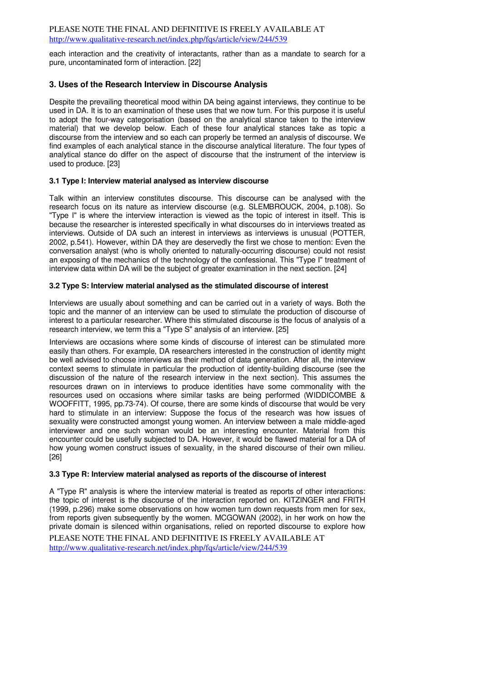each interaction and the creativity of interactants, rather than as a mandate to search for a pure, uncontaminated form of interaction. [22]

# **3. Uses of the Research Interview in Discourse Analysis**

Despite the prevailing theoretical mood within DA being against interviews, they continue to be used in DA. It is to an examination of these uses that we now turn. For this purpose it is useful to adopt the four-way categorisation (based on the analytical stance taken to the interview material) that we develop below. Each of these four analytical stances take as topic a discourse from the interview and so each can properly be termed an analysis of discourse. We find examples of each analytical stance in the discourse analytical literature. The four types of analytical stance do differ on the aspect of discourse that the instrument of the interview is used to produce. [23]

# **3.1 Type I: Interview material analysed as interview discourse**

Talk within an interview constitutes discourse. This discourse can be analysed with the research focus on its nature as interview discourse (e.g. SLEMBROUCK, 2004, p.108). So "Type I" is where the interview interaction is viewed as the topic of interest in itself. This is because the researcher is interested specifically in what discourses do in interviews treated as interviews. Outside of DA such an interest in interviews as interviews is unusual (POTTER, 2002, p.541). However, within DA they are deservedly the first we chose to mention: Even the conversation analyst (who is wholly oriented to naturally-occurring discourse) could not resist an exposing of the mechanics of the technology of the confessional. This "Type I" treatment of interview data within DA will be the subject of greater examination in the next section. [24]

#### **3.2 Type S: Interview material analysed as the stimulated discourse of interest**

Interviews are usually about something and can be carried out in a variety of ways. Both the topic and the manner of an interview can be used to stimulate the production of discourse of interest to a particular researcher. Where this stimulated discourse is the focus of analysis of a research interview, we term this a "Type S" analysis of an interview. [25]

Interviews are occasions where some kinds of discourse of interest can be stimulated more easily than others. For example, DA researchers interested in the construction of identity might be well advised to choose interviews as their method of data generation. After all, the interview context seems to stimulate in particular the production of identity-building discourse (see the discussion of the nature of the research interview in the next section). This assumes the resources drawn on in interviews to produce identities have some commonality with the resources used on occasions where similar tasks are being performed (WIDDICOMBE & WOOFFITT, 1995, pp.73-74). Of course, there are some kinds of discourse that would be very hard to stimulate in an interview: Suppose the focus of the research was how issues of sexuality were constructed amongst young women. An interview between a male middle-aged interviewer and one such woman would be an interesting encounter. Material from this encounter could be usefully subjected to DA. However, it would be flawed material for a DA of how young women construct issues of sexuality, in the shared discourse of their own milieu. [26]

# **3.3 Type R: Interview material analysed as reports of the discourse of interest**

PLEASE NOTE THE FINAL AND DEFINITIVE IS FREELY AVAILABLE AT http://www.qualitative-research.net/index.php/fqs/article/view/244/539 A "Type R" analysis is where the interview material is treated as reports of other interactions: the topic of interest is the discourse of the interaction reported on. KITZINGER and FRITH (1999, p.296) make some observations on how women turn down requests from men for sex, from reports given subsequently by the women. MCGOWAN (2002), in her work on how the private domain is silenced within organisations, relied on reported discourse to explore how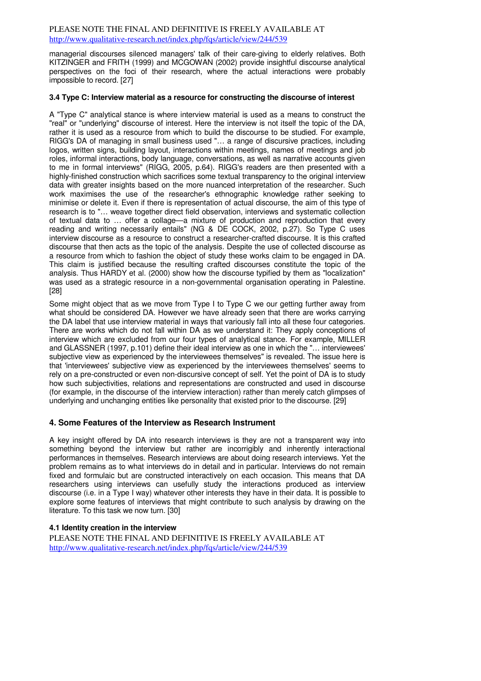managerial discourses silenced managers' talk of their care-giving to elderly relatives. Both KITZINGER and FRITH (1999) and MCGOWAN (2002) provide insightful discourse analytical perspectives on the foci of their research, where the actual interactions were probably impossible to record. [27]

#### **3.4 Type C: Interview material as a resource for constructing the discourse of interest**

A "Type C" analytical stance is where interview material is used as a means to construct the "real" or "underlying" discourse of interest. Here the interview is not itself the topic of the DA, rather it is used as a resource from which to build the discourse to be studied. For example, RIGG's DA of managing in small business used "… a range of discursive practices, including logos, written signs, building layout, interactions within meetings, names of meetings and job roles, informal interactions, body language, conversations, as well as narrative accounts given to me in formal interviews" (RIGG, 2005, p.64). RIGG's readers are then presented with a highly-finished construction which sacrifices some textual transparency to the original interview data with greater insights based on the more nuanced interpretation of the researcher. Such work maximises the use of the researcher's ethnographic knowledge rather seeking to minimise or delete it. Even if there is representation of actual discourse, the aim of this type of research is to "… weave together direct field observation, interviews and systematic collection of textual data to … offer a collage—a mixture of production and reproduction that every reading and writing necessarily entails" (NG & DE COCK, 2002, p.27). So Type C uses interview discourse as a resource to construct a researcher-crafted discourse. It is this crafted discourse that then acts as the topic of the analysis. Despite the use of collected discourse as a resource from which to fashion the object of study these works claim to be engaged in DA. This claim is justified because the resulting crafted discourses constitute the topic of the analysis. Thus HARDY et al. (2000) show how the discourse typified by them as "localization" was used as a strategic resource in a non-governmental organisation operating in Palestine. [28]

Some might object that as we move from Type I to Type C we our getting further away from what should be considered DA. However we have already seen that there are works carrying the DA label that use interview material in ways that variously fall into all these four categories. There are works which do not fall within DA as we understand it: They apply conceptions of interview which are excluded from our four types of analytical stance. For example, MILLER and GLASSNER (1997, p.101) define their ideal interview as one in which the "… interviewees' subjective view as experienced by the interviewees themselves" is revealed. The issue here is that 'interviewees' subjective view as experienced by the interviewees themselves' seems to rely on a pre-constructed or even non-discursive concept of self. Yet the point of DA is to study how such subjectivities, relations and representations are constructed and used in discourse (for example, in the discourse of the interview interaction) rather than merely catch glimpses of underlying and unchanging entities like personality that existed prior to the discourse. [29]

# **4. Some Features of the Interview as Research Instrument**

A key insight offered by DA into research interviews is they are not a transparent way into something beyond the interview but rather are incorrigibly and inherently interactional performances in themselves. Research interviews are about doing research interviews. Yet the problem remains as to what interviews do in detail and in particular. Interviews do not remain fixed and formulaic but are constructed interactively on each occasion. This means that DA researchers using interviews can usefully study the interactions produced as interview discourse (i.e. in a Type I way) whatever other interests they have in their data. It is possible to explore some features of interviews that might contribute to such analysis by drawing on the literature. To this task we now turn. [30]

# **4.1 Identity creation in the interview**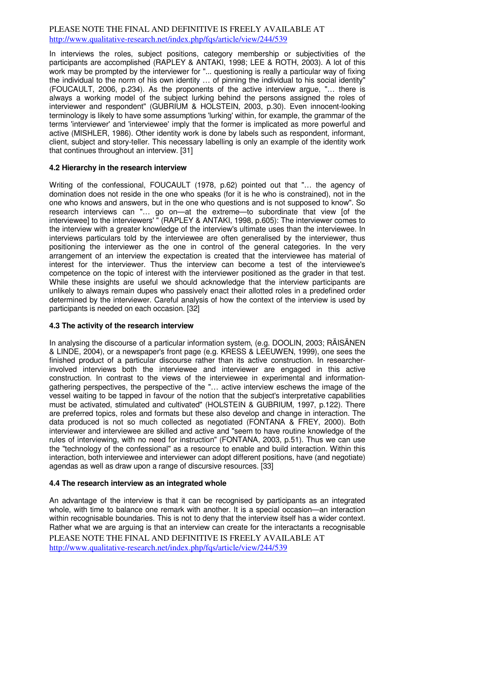In interviews the roles, subject positions, category membership or subjectivities of the participants are accomplished (RAPLEY & ANTAKI, 1998; LEE & ROTH, 2003). A lot of this work may be prompted by the interviewer for "... questioning is really a particular way of fixing the individual to the norm of his own identity … of pinning the individual to his social identity" (FOUCAULT, 2006, p.234). As the proponents of the active interview argue, "… there is always a working model of the subject lurking behind the persons assigned the roles of interviewer and respondent" (GUBRIUM & HOLSTEIN, 2003, p.30). Even innocent-looking terminology is likely to have some assumptions 'lurking' within, for example, the grammar of the terms 'interviewer' and 'interviewee' imply that the former is implicated as more powerful and active (MISHLER, 1986). Other identity work is done by labels such as respondent, informant, client, subject and story-teller. This necessary labelling is only an example of the identity work that continues throughout an interview. [31]

# **4.2 Hierarchy in the research interview**

Writing of the confessional, FOUCAULT (1978, p.62) pointed out that "… the agency of domination does not reside in the one who speaks (for it is he who is constrained), not in the one who knows and answers, but in the one who questions and is not supposed to know". So research interviews can "… go on—at the extreme—to subordinate that view [of the interviewee] to the interviewers' " (RAPLEY & ANTAKI, 1998, p.605): The interviewer comes to the interview with a greater knowledge of the interview's ultimate uses than the interviewee. In interviews particulars told by the interviewee are often generalised by the interviewer, thus positioning the interviewer as the one in control of the general categories. In the very arrangement of an interview the expectation is created that the interviewee has material of interest for the interviewer. Thus the interview can become a test of the interviewee's competence on the topic of interest with the interviewer positioned as the grader in that test. While these insights are useful we should acknowledge that the interview participants are unlikely to always remain dupes who passively enact their allotted roles in a predefined order determined by the interviewer. Careful analysis of how the context of the interview is used by participants is needed on each occasion. [32]

#### **4.3 The activity of the research interview**

In analysing the discourse of a particular information system, (e.g. DOOLIN, 2003; RÄISÄNEN & LINDE, 2004), or a newspaper's front page (e.g. KRESS & LEEUWEN, 1999), one sees the finished product of a particular discourse rather than its active construction. In researcherinvolved interviews both the interviewee and interviewer are engaged in this active construction. In contrast to the views of the interviewee in experimental and informationgathering perspectives, the perspective of the "… active interview eschews the image of the vessel waiting to be tapped in favour of the notion that the subject's interpretative capabilities must be activated, stimulated and cultivated" (HOLSTEIN & GUBRIUM, 1997, p.122). There are preferred topics, roles and formats but these also develop and change in interaction. The data produced is not so much collected as negotiated (FONTANA & FREY, 2000). Both interviewer and interviewee are skilled and active and "seem to have routine knowledge of the rules of interviewing, with no need for instruction" (FONTANA, 2003, p.51). Thus we can use the "technology of the confessional" as a resource to enable and build interaction. Within this interaction, both interviewee and interviewer can adopt different positions, have (and negotiate) agendas as well as draw upon a range of discursive resources. [33]

# **4.4 The research interview as an integrated whole**

PLEASE NOTE THE FINAL AND DEFINITIVE IS FREELY AVAILABLE AT http://www.qualitative-research.net/index.php/fqs/article/view/244/539 An advantage of the interview is that it can be recognised by participants as an integrated whole, with time to balance one remark with another. It is a special occasion—an interaction within recognisable boundaries. This is not to deny that the interview itself has a wider context. Rather what we are arguing is that an interview can create for the interactants a recognisable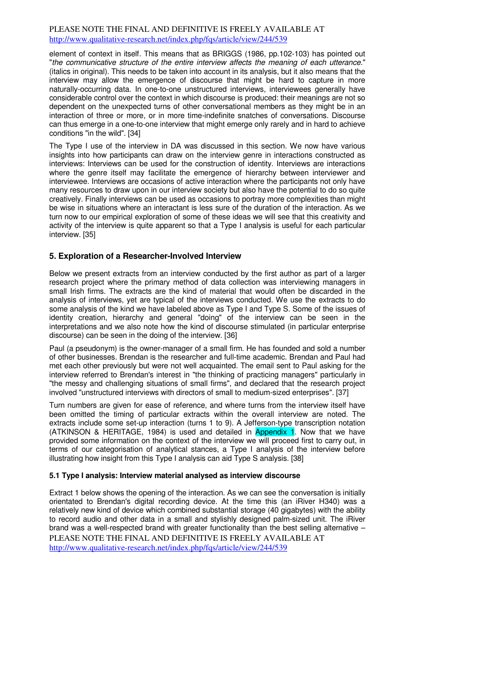element of context in itself. This means that as BRIGGS (1986, pp.102-103) has pointed out "the communicative structure of the entire interview affects the meaning of each utterance." (italics in original). This needs to be taken into account in its analysis, but it also means that the interview may allow the emergence of discourse that might be hard to capture in more naturally-occurring data. In one-to-one unstructured interviews, interviewees generally have considerable control over the context in which discourse is produced: their meanings are not so dependent on the unexpected turns of other conversational members as they might be in an interaction of three or more, or in more time-indefinite snatches of conversations. Discourse can thus emerge in a one-to-one interview that might emerge only rarely and in hard to achieve conditions "in the wild". [34]

The Type I use of the interview in DA was discussed in this section. We now have various insights into how participants can draw on the interview genre in interactions constructed as interviews: Interviews can be used for the construction of identity. Interviews are interactions where the genre itself may facilitate the emergence of hierarchy between interviewer and interviewee. Interviews are occasions of active interaction where the participants not only have many resources to draw upon in our interview society but also have the potential to do so quite creatively. Finally interviews can be used as occasions to portray more complexities than might be wise in situations where an interactant is less sure of the duration of the interaction. As we turn now to our empirical exploration of some of these ideas we will see that this creativity and activity of the interview is quite apparent so that a Type I analysis is useful for each particular interview. [35]

# **5. Exploration of a Researcher-Involved Interview**

Below we present extracts from an interview conducted by the first author as part of a larger research project where the primary method of data collection was interviewing managers in small Irish firms. The extracts are the kind of material that would often be discarded in the analysis of interviews, yet are typical of the interviews conducted. We use the extracts to do some analysis of the kind we have labeled above as Type I and Type S. Some of the issues of identity creation, hierarchy and general "doing" of the interview can be seen in the interpretations and we also note how the kind of discourse stimulated (in particular enterprise discourse) can be seen in the doing of the interview. [36]

Paul (a pseudonym) is the owner-manager of a small firm. He has founded and sold a number of other businesses. Brendan is the researcher and full-time academic. Brendan and Paul had met each other previously but were not well acquainted. The email sent to Paul asking for the interview referred to Brendan's interest in "the thinking of practicing managers" particularly in "the messy and challenging situations of small firms", and declared that the research project involved "unstructured interviews with directors of small to medium-sized enterprises". [37]

Turn numbers are given for ease of reference, and where turns from the interview itself have been omitted the timing of particular extracts within the overall interview are noted. The extracts include some set-up interaction (turns 1 to 9). A Jefferson-type transcription notation (ATKINSON & HERITAGE, 1984) is used and detailed in Appendix 1. Now that we have provided some information on the context of the interview we will proceed first to carry out, in terms of our categorisation of analytical stances, a Type I analysis of the interview before illustrating how insight from this Type I analysis can aid Type S analysis. [38]

# **5.1 Type I analysis: Interview material analysed as interview discourse**

PLEASE NOTE THE FINAL AND DEFINITIVE IS FREELY AVAILABLE AT http://www.qualitative-research.net/index.php/fqs/article/view/244/539 Extract 1 below shows the opening of the interaction. As we can see the conversation is initially orientated to Brendan's digital recording device. At the time this (an iRiver H340) was a relatively new kind of device which combined substantial storage (40 gigabytes) with the ability to record audio and other data in a small and stylishly designed palm-sized unit. The iRiver brand was a well-respected brand with greater functionality than the best selling alternative –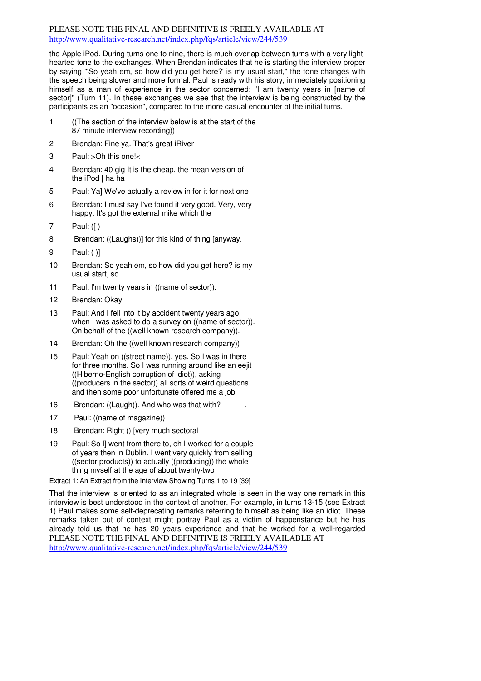the Apple iPod. During turns one to nine, there is much overlap between turns with a very lighthearted tone to the exchanges. When Brendan indicates that he is starting the interview proper by saying "'So yeah em, so how did you get here?' is my usual start," the tone changes with the speech being slower and more formal. Paul is ready with his story, immediately positioning himself as a man of experience in the sector concerned: "I am twenty years in [name of sector]" (Turn 11). In these exchanges we see that the interview is being constructed by the participants as an "occasion", compared to the more casual encounter of the initial turns.

- 1 ((The section of the interview below is at the start of the 87 minute interview recording))
- 2 Brendan: Fine ya. That's great iRiver
- 3 Paul: >Oh this one!<
- 4 Brendan: 40 gig It is the cheap, the mean version of the iPod [ ha ha
- 5 Paul: Ya] We've actually a review in for it for next one
- 6 Brendan: I must say I've found it very good. Very, very happy. It's got the external mike which the
- 7 Paul: ([ )
- 8 Brendan: ((Laughs))] for this kind of thing [anyway.
- 9 Paul: ( )]
- 10 Brendan: So yeah em, so how did you get here? is my usual start, so.
- 11 Paul: I'm twenty years in ((name of sector)).
- 12 Brendan: Okay.
- 13 Paul: And I fell into it by accident twenty years ago, when I was asked to do a survey on ((name of sector)). On behalf of the ((well known research company)).
- 14 Brendan: Oh the ((well known research company))
- 15 Paul: Yeah on ((street name)), yes. So I was in there for three months. So I was running around like an eejit ((Hiberno-English corruption of idiot)), asking ((producers in the sector)) all sorts of weird questions and then some poor unfortunate offered me a job.
- 16 Brendan: ((Laugh)). And who was that with?
- 17 Paul: ((name of magazine))
- 18 Brendan: Right () [very much sectoral
- 19 Paul: So I] went from there to, eh I worked for a couple of years then in Dublin. I went very quickly from selling ((sector products)) to actually ((producing)) the whole thing myself at the age of about twenty-two

Extract 1: An Extract from the Interview Showing Turns 1 to 19 [39]

PLEASE NOTE THE FINAL AND DEFINITIVE IS FREELY AVAILABLE AT http://www.qualitative-research.net/index.php/fqs/article/view/244/539 That the interview is oriented to as an integrated whole is seen in the way one remark in this interview is best understood in the context of another. For example, in turns 13-15 (see Extract 1) Paul makes some self-deprecating remarks referring to himself as being like an idiot. These remarks taken out of context might portray Paul as a victim of happenstance but he has already told us that he has 20 years experience and that he worked for a well-regarded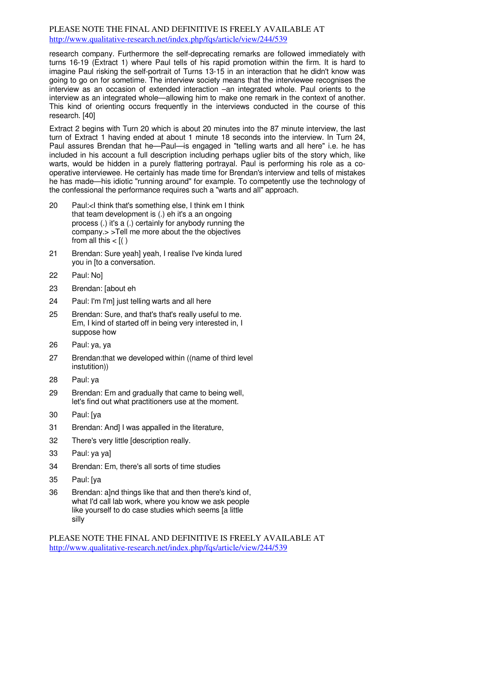research company. Furthermore the self-deprecating remarks are followed immediately with turns 16-19 (Extract 1) where Paul tells of his rapid promotion within the firm. It is hard to imagine Paul risking the self-portrait of Turns 13-15 in an interaction that he didn't know was going to go on for sometime. The interview society means that the interviewee recognises the interview as an occasion of extended interaction –an integrated whole. Paul orients to the interview as an integrated whole—allowing him to make one remark in the context of another. This kind of orienting occurs frequently in the interviews conducted in the course of this research. [40]

Extract 2 begins with Turn 20 which is about 20 minutes into the 87 minute interview, the last turn of Extract 1 having ended at about 1 minute 18 seconds into the interview. In Turn 24, Paul assures Brendan that he—Paul—is engaged in "telling warts and all here" i.e. he has included in his account a full description including perhaps uglier bits of the story which, like warts, would be hidden in a purely flattering portrayal. Paul is performing his role as a cooperative interviewee. He certainly has made time for Brendan's interview and tells of mistakes he has made—his idiotic "running around" for example. To competently use the technology of the confessional the performance requires such a "warts and all" approach.

- 20 Paul:<I think that's something else, I think em I think that team development is (.) eh it's a an ongoing process (.) it's a (.) certainly for anybody running the company.> >Tell me more about the the objectives from all this  $<$   $\lceil( )$
- 21 Brendan: Sure yeah] yeah, I realise I've kinda lured you in [to a conversation.
- 22 Paul: No]
- 23 Brendan: [about eh
- 24 Paul: I'm I'm] just telling warts and all here
- 25 Brendan: Sure, and that's that's really useful to me. Em, I kind of started off in being very interested in, I suppose how
- 26 Paul: ya, ya
- 27 Brendan:that we developed within ((name of third level instutition))
- 28 Paul: ya
- 29 Brendan: Em and gradually that came to being well, let's find out what practitioners use at the moment.
- 30 Paul: [ya
- 31 Brendan: And] I was appalled in the literature,
- 32 There's very little [description really.
- 33 Paul: ya ya]
- 34 Brendan: Em, there's all sorts of time studies
- 35 Paul: [ya
- 36 Brendan: alnd things like that and then there's kind of. what I'd call lab work, where you know we ask people like yourself to do case studies which seems [a little silly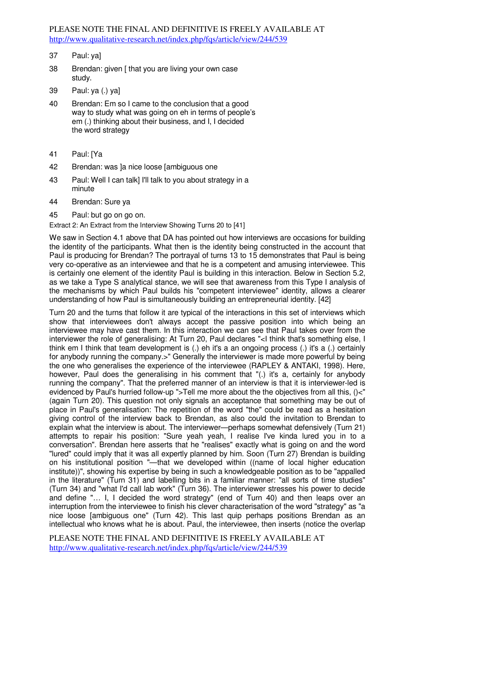- 37 Paul: ya]
- 38 Brendan: given [ that you are living your own case study.
- 39 Paul: ya (.) ya]
- 40 Brendan: Em so I came to the conclusion that a good way to study what was going on eh in terms of people's em (.) thinking about their business, and I, I decided the word strategy
- 41 Paul: [Ya
- 42 Brendan: was ]a nice loose [ambiguous one
- 43 Paul: Well I can talk] I'll talk to you about strategy in a minute
- 44 Brendan: Sure ya
- 45 Paul: but go on go on.

Extract 2: An Extract from the Interview Showing Turns 20 to [41]

We saw in Section 4.1 above that DA has pointed out how interviews are occasions for building the identity of the participants. What then is the identity being constructed in the account that Paul is producing for Brendan? The portrayal of turns 13 to 15 demonstrates that Paul is being very co-operative as an interviewee and that he is a competent and amusing interviewee. This is certainly one element of the identity Paul is building in this interaction. Below in Section 5.2, as we take a Type S analytical stance, we will see that awareness from this Type I analysis of the mechanisms by which Paul builds his "competent interviewee" identity, allows a clearer understanding of how Paul is simultaneously building an entrepreneurial identity. [42]

Turn 20 and the turns that follow it are typical of the interactions in this set of interviews which show that interviewees don't always accept the passive position into which being an interviewee may have cast them. In this interaction we can see that Paul takes over from the interviewer the role of generalising: At Turn 20, Paul declares "<I think that's something else, I think em I think that team development is (.) eh it's a an ongoing process (.) it's a (.) certainly for anybody running the company.>" Generally the interviewer is made more powerful by being the one who generalises the experience of the interviewee (RAPLEY & ANTAKI, 1998). Here, however, Paul does the generalising in his comment that "(.) it's a, certainly for anybody running the company". That the preferred manner of an interview is that it is interviewer-led is evidenced by Paul's hurried follow-up ">Tell me more about the the objectives from all this, ()<" (again Turn 20). This question not only signals an acceptance that something may be out of place in Paul's generalisation: The repetition of the word "the" could be read as a hesitation giving control of the interview back to Brendan, as also could the invitation to Brendan to explain what the interview is about. The interviewer—perhaps somewhat defensively (Turn 21) attempts to repair his position: "Sure yeah yeah, I realise I've kinda lured you in to a conversation". Brendan here asserts that he "realises" exactly what is going on and the word "lured" could imply that it was all expertly planned by him. Soon (Turn 27) Brendan is building on his institutional position "—that we developed within ((name of local higher education institute))", showing his expertise by being in such a knowledgeable position as to be "appalled in the literature" (Turn 31) and labelling bits in a familiar manner: "all sorts of time studies" (Turn 34) and "what I'd call lab work" (Turn 36). The interviewer stresses his power to decide and define "… I, I decided the word strategy" (end of Turn 40) and then leaps over an interruption from the interviewee to finish his clever characterisation of the word "strategy" as "a nice loose [ambiguous one" (Turn 42). This last quip perhaps positions Brendan as an intellectual who knows what he is about. Paul, the interviewee, then inserts (notice the overlap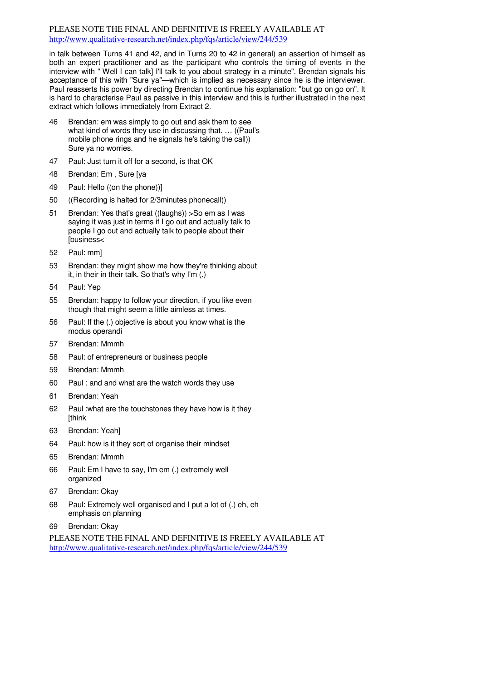in talk between Turns 41 and 42, and in Turns 20 to 42 in general) an assertion of himself as both an expert practitioner and as the participant who controls the timing of events in the interview with " Well I can talk] I'll talk to you about strategy in a minute". Brendan signals his acceptance of this with "Sure ya"—which is implied as necessary since he is the interviewer. Paul reasserts his power by directing Brendan to continue his explanation: "but go on go on". It is hard to characterise Paul as passive in this interview and this is further illustrated in the next extract which follows immediately from Extract 2.

- 46 Brendan: em was simply to go out and ask them to see what kind of words they use in discussing that. … ((Paul's mobile phone rings and he signals he's taking the call)) Sure ya no worries.
- 47 Paul: Just turn it off for a second, is that OK
- 48 Brendan: Em , Sure [ya
- 49 Paul: Hello ((on the phone))]
- 50 ((Recording is halted for 2/3minutes phonecall))
- 51 Brendan: Yes that's great ((laughs)) >So em as I was saying it was just in terms if I go out and actually talk to people I go out and actually talk to people about their [business<
- 52 Paul: mm]
- 53 Brendan: they might show me how they're thinking about it, in their in their talk. So that's why I'm (.)
- 54 Paul: Yep
- 55 Brendan: happy to follow your direction, if you like even though that might seem a little aimless at times.
- 56 Paul: If the (.) objective is about you know what is the modus operandi
- 57 Brendan: Mmmh
- 58 Paul: of entrepreneurs or business people
- 59 Brendan: Mmmh
- 60 Paul : and and what are the watch words they use
- 61 Brendan: Yeah
- 62 Paul :what are the touchstones they have how is it they **[think]**
- 63 Brendan: Yeah]
- 64 Paul: how is it they sort of organise their mindset
- 65 Brendan: Mmmh
- 66 Paul: Em I have to say, I'm em (.) extremely well organized
- 67 Brendan: Okay
- 68 Paul: Extremely well organised and I put a lot of (.) eh, eh emphasis on planning
- 69 Brendan: Okay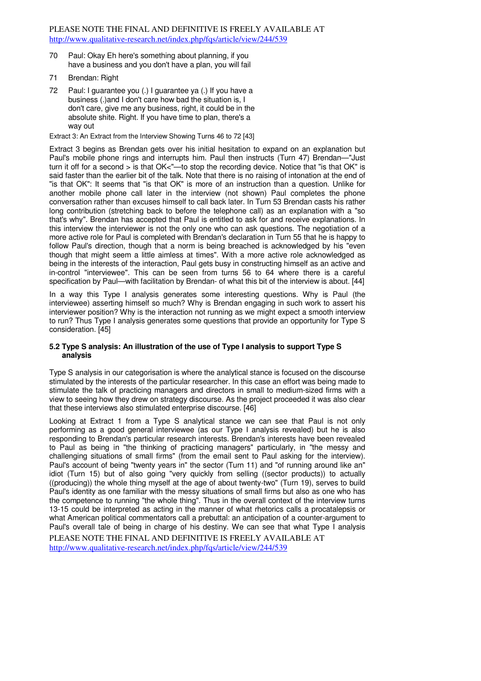- 70 Paul: Okay Eh here's something about planning, if you have a business and you don't have a plan, you will fail
- 71 Brendan: Right
- 72 Paul: I guarantee you (.) I guarantee ya (.) If you have a business (.)and I don't care how bad the situation is, I don't care, give me any business, right, it could be in the absolute shite. Right. If you have time to plan, there's a way out

Extract 3: An Extract from the Interview Showing Turns 46 to 72 [43]

Extract 3 begins as Brendan gets over his initial hesitation to expand on an explanation but Paul's mobile phone rings and interrupts him. Paul then instructs (Turn 47) Brendan—"Just turn it off for a second > is that OK<"—to stop the recording device. Notice that "is that OK" is said faster than the earlier bit of the talk. Note that there is no raising of intonation at the end of "is that OK": It seems that "is that OK" is more of an instruction than a question. Unlike for another mobile phone call later in the interview (not shown) Paul completes the phone conversation rather than excuses himself to call back later. In Turn 53 Brendan casts his rather long contribution (stretching back to before the telephone call) as an explanation with a "so that's why". Brendan has accepted that Paul is entitled to ask for and receive explanations. In this interview the interviewer is not the only one who can ask questions. The negotiation of a more active role for Paul is completed with Brendan's declaration in Turn 55 that he is happy to follow Paul's direction, though that a norm is being breached is acknowledged by his "even though that might seem a little aimless at times". With a more active role acknowledged as being in the interests of the interaction, Paul gets busy in constructing himself as an active and in-control "interviewee". This can be seen from turns 56 to 64 where there is a careful specification by Paul—with facilitation by Brendan- of what this bit of the interview is about. [44]

In a way this Type I analysis generates some interesting questions. Why is Paul (the interviewee) asserting himself so much? Why is Brendan engaging in such work to assert his interviewer position? Why is the interaction not running as we might expect a smooth interview to run? Thus Type I analysis generates some questions that provide an opportunity for Type S consideration. [45]

# **5.2 Type S analysis: An illustration of the use of Type I analysis to support Type S analysis**

Type S analysis in our categorisation is where the analytical stance is focused on the discourse stimulated by the interests of the particular researcher. In this case an effort was being made to stimulate the talk of practicing managers and directors in small to medium-sized firms with a view to seeing how they drew on strategy discourse. As the project proceeded it was also clear that these interviews also stimulated enterprise discourse. [46]

PLEASE NOTE THE FINAL AND DEFINITIVE IS FREELY AVAILABLE AT Looking at Extract 1 from a Type S analytical stance we can see that Paul is not only performing as a good general interviewee (as our Type I analysis revealed) but he is also responding to Brendan's particular research interests. Brendan's interests have been revealed to Paul as being in "the thinking of practicing managers" particularly, in "the messy and challenging situations of small firms" (from the email sent to Paul asking for the interview). Paul's account of being "twenty years in" the sector (Turn 11) and "of running around like an" idiot (Turn 15) but of also going "very quickly from selling ((sector products)) to actually ((producing)) the whole thing myself at the age of about twenty-two" (Turn 19), serves to build Paul's identity as one familiar with the messy situations of small firms but also as one who has the competence to running "the whole thing". Thus in the overall context of the interview turns 13-15 could be interpreted as acting in the manner of what rhetorics calls a procatalepsis or what American political commentators call a prebuttal: an anticipation of a counter-argument to Paul's overall tale of being in charge of his destiny. We can see that what Type I analysis

http://www.qualitative-research.net/index.php/fqs/article/view/244/539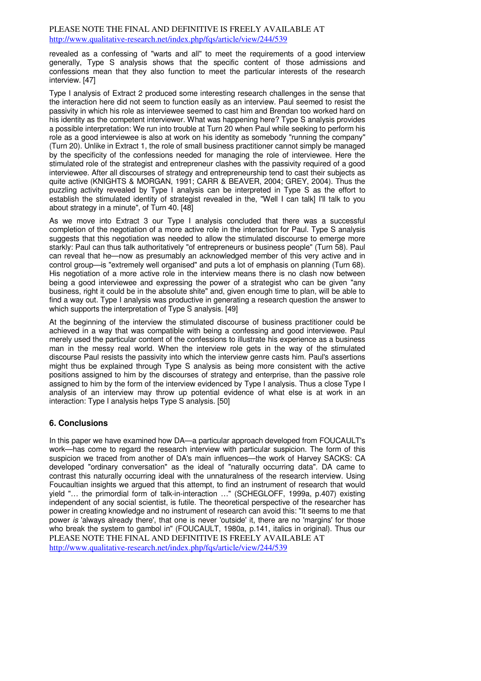revealed as a confessing of "warts and all" to meet the requirements of a good interview generally, Type S analysis shows that the specific content of those admissions and confessions mean that they also function to meet the particular interests of the research interview. [47]

Type I analysis of Extract 2 produced some interesting research challenges in the sense that the interaction here did not seem to function easily as an interview. Paul seemed to resist the passivity in which his role as interviewee seemed to cast him and Brendan too worked hard on his identity as the competent interviewer. What was happening here? Type S analysis provides a possible interpretation: We run into trouble at Turn 20 when Paul while seeking to perform his role as a good interviewee is also at work on his identity as somebody "running the company" (Turn 20). Unlike in Extract 1, the role of small business practitioner cannot simply be managed by the specificity of the confessions needed for managing the role of interviewee. Here the stimulated role of the strategist and entrepreneur clashes with the passivity required of a good interviewee. After all discourses of strategy and entrepreneurship tend to cast their subjects as quite active (KNIGHTS & MORGAN, 1991; CARR & BEAVER, 2004; GREY, 2004). Thus the puzzling activity revealed by Type I analysis can be interpreted in Type S as the effort to establish the stimulated identity of strategist revealed in the, "Well I can talk] I'll talk to you about strategy in a minute", of Turn 40. [48]

As we move into Extract 3 our Type I analysis concluded that there was a successful completion of the negotiation of a more active role in the interaction for Paul. Type S analysis suggests that this negotiation was needed to allow the stimulated discourse to emerge more starkly: Paul can thus talk authoritatively "of entrepreneurs or business people" (Turn 58). Paul can reveal that he—now as presumably an acknowledged member of this very active and in control group—is "extremely well organised" and puts a lot of emphasis on planning (Turn 68). His negotiation of a more active role in the interview means there is no clash now between being a good interviewee and expressing the power of a strategist who can be given "any business, right it could be in the absolute shite" and, given enough time to plan, will be able to find a way out. Type I analysis was productive in generating a research question the answer to which supports the interpretation of Type S analysis. [49]

At the beginning of the interview the stimulated discourse of business practitioner could be achieved in a way that was compatible with being a confessing and good interviewee. Paul merely used the particular content of the confessions to illustrate his experience as a business man in the messy real world. When the interview role gets in the way of the stimulated discourse Paul resists the passivity into which the interview genre casts him. Paul's assertions might thus be explained through Type S analysis as being more consistent with the active positions assigned to him by the discourses of strategy and enterprise, than the passive role assigned to him by the form of the interview evidenced by Type I analysis. Thus a close Type I analysis of an interview may throw up potential evidence of what else is at work in an interaction: Type I analysis helps Type S analysis. [50]

# **6. Conclusions**

PLEASE NOTE THE FINAL AND DEFINITIVE IS FREELY AVAILABLE AT http://www.qualitative-research.net/index.php/fqs/article/view/244/539 In this paper we have examined how DA—a particular approach developed from FOUCAULT's work—has come to regard the research interview with particular suspicion. The form of this suspicion we traced from another of DA's main influences—the work of Harvey SACKS: CA developed "ordinary conversation" as the ideal of "naturally occurring data". DA came to contrast this naturally occurring ideal with the unnaturalness of the research interview. Using Foucaultian insights we argued that this attempt, to find an instrument of research that would yield "… the primordial form of talk-in-interaction …" (SCHEGLOFF, 1999a, p.407) existing independent of any social scientist, is futile. The theoretical perspective of the researcher has power in creating knowledge and no instrument of research can avoid this: "It seems to me that power is 'always already there', that one is never 'outside' it, there are no 'margins' for those who break the system to gambol in" (FOUCAULT, 1980a, p.141, italics in original). Thus our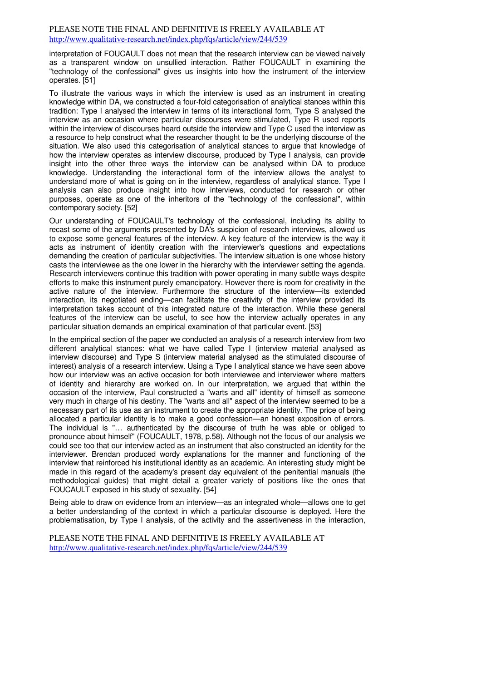interpretation of FOUCAULT does not mean that the research interview can be viewed naively as a transparent window on unsullied interaction. Rather FOUCAULT in examining the "technology of the confessional" gives us insights into how the instrument of the interview operates. [51]

To illustrate the various ways in which the interview is used as an instrument in creating knowledge within DA, we constructed a four-fold categorisation of analytical stances within this tradition: Type I analysed the interview in terms of its interactional form, Type S analysed the interview as an occasion where particular discourses were stimulated, Type R used reports within the interview of discourses heard outside the interview and Type C used the interview as a resource to help construct what the researcher thought to be the underlying discourse of the situation. We also used this categorisation of analytical stances to argue that knowledge of how the interview operates as interview discourse, produced by Type I analysis, can provide insight into the other three ways the interview can be analysed within DA to produce knowledge. Understanding the interactional form of the interview allows the analyst to understand more of what is going on in the interview, regardless of analytical stance. Type I analysis can also produce insight into how interviews, conducted for research or other purposes, operate as one of the inheritors of the "technology of the confessional", within contemporary society. [52]

Our understanding of FOUCAULT's technology of the confessional, including its ability to recast some of the arguments presented by DA's suspicion of research interviews, allowed us to expose some general features of the interview. A key feature of the interview is the way it acts as instrument of identity creation with the interviewer's questions and expectations demanding the creation of particular subjectivities. The interview situation is one whose history casts the interviewee as the one lower in the hierarchy with the interviewer setting the agenda. Research interviewers continue this tradition with power operating in many subtle ways despite efforts to make this instrument purely emancipatory. However there is room for creativity in the active nature of the interview. Furthermore the structure of the interview—its extended interaction, its negotiated ending—can facilitate the creativity of the interview provided its interpretation takes account of this integrated nature of the interaction. While these general features of the interview can be useful, to see how the interview actually operates in any particular situation demands an empirical examination of that particular event. [53]

In the empirical section of the paper we conducted an analysis of a research interview from two different analytical stances: what we have called Type I (interview material analysed as interview discourse) and Type S (interview material analysed as the stimulated discourse of interest) analysis of a research interview. Using a Type I analytical stance we have seen above how our interview was an active occasion for both interviewee and interviewer where matters of identity and hierarchy are worked on. In our interpretation, we argued that within the occasion of the interview, Paul constructed a "warts and all" identity of himself as someone very much in charge of his destiny. The "warts and all" aspect of the interview seemed to be a necessary part of its use as an instrument to create the appropriate identity. The price of being allocated a particular identity is to make a good confession—an honest exposition of errors. The individual is "… authenticated by the discourse of truth he was able or obliged to pronounce about himself" (FOUCAULT, 1978, p.58). Although not the focus of our analysis we could see too that our interview acted as an instrument that also constructed an identity for the interviewer. Brendan produced wordy explanations for the manner and functioning of the interview that reinforced his institutional identity as an academic. An interesting study might be made in this regard of the academy's present day equivalent of the penitential manuals (the methodological guides) that might detail a greater variety of positions like the ones that FOUCAULT exposed in his study of sexuality. [54]

Being able to draw on evidence from an interview—as an integrated whole—allows one to get a better understanding of the context in which a particular discourse is deployed. Here the problematisation, by Type I analysis, of the activity and the assertiveness in the interaction,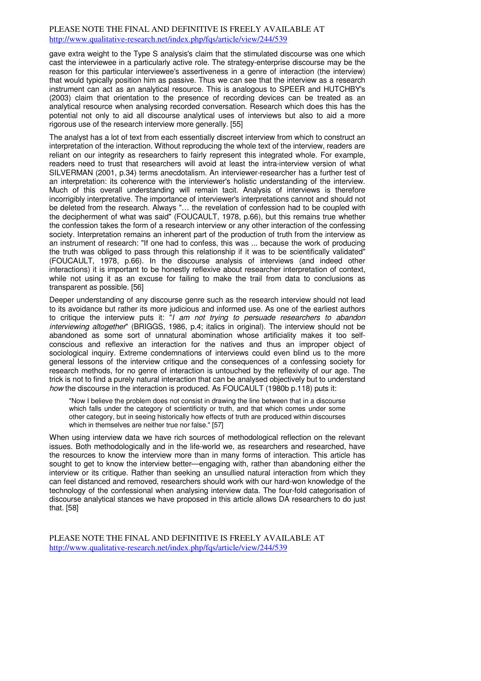gave extra weight to the Type S analysis's claim that the stimulated discourse was one which cast the interviewee in a particularly active role. The strategy-enterprise discourse may be the reason for this particular interviewee's assertiveness in a genre of interaction (the interview) that would typically position him as passive. Thus we can see that the interview as a research instrument can act as an analytical resource. This is analogous to SPEER and HUTCHBY's (2003) claim that orientation to the presence of recording devices can be treated as an analytical resource when analysing recorded conversation. Research which does this has the potential not only to aid all discourse analytical uses of interviews but also to aid a more rigorous use of the research interview more generally. [55]

The analyst has a lot of text from each essentially discreet interview from which to construct an interpretation of the interaction. Without reproducing the whole text of the interview, readers are reliant on our integrity as researchers to fairly represent this integrated whole. For example, readers need to trust that researchers will avoid at least the intra-interview version of what SILVERMAN (2001, p.34) terms anecdotalism. An interviewer-researcher has a further test of an interpretation: its coherence with the interviewer's holistic understanding of the interview. Much of this overall understanding will remain tacit. Analysis of interviews is therefore incorrigibly interpretative. The importance of interviewer's interpretations cannot and should not be deleted from the research. Always "… the revelation of confession had to be coupled with the decipherment of what was said" (FOUCAULT, 1978, p.66), but this remains true whether the confession takes the form of a research interview or any other interaction of the confessing society. Interpretation remains an inherent part of the production of truth from the interview as an instrument of research: "If one had to confess, this was ... because the work of producing the truth was obliged to pass through this relationship if it was to be scientifically validated" (FOUCAULT, 1978, p.66). In the discourse analysis of interviews (and indeed other interactions) it is important to be honestly reflexive about researcher interpretation of context, while not using it as an excuse for failing to make the trail from data to conclusions as transparent as possible. [56]

Deeper understanding of any discourse genre such as the research interview should not lead to its avoidance but rather its more judicious and informed use. As one of the earliest authors to critique the interview puts it: "I am not trying to persuade researchers to abandon interviewing altogether" (BRIGGS, 1986, p.4; italics in original). The interview should not be abandoned as some sort of unnatural abomination whose artificiality makes it too selfconscious and reflexive an interaction for the natives and thus an improper object of sociological inquiry. Extreme condemnations of interviews could even blind us to the more general lessons of the interview critique and the consequences of a confessing society for research methods, for no genre of interaction is untouched by the reflexivity of our age. The trick is not to find a purely natural interaction that can be analysed objectively but to understand how the discourse in the interaction is produced. As FOUCAULT (1980b p.118) puts it:

"Now I believe the problem does not consist in drawing the line between that in a discourse which falls under the category of scientificity or truth, and that which comes under some other category, but in seeing historically how effects of truth are produced within discourses which in themselves are neither true nor false." [57]

When using interview data we have rich sources of methodological reflection on the relevant issues. Both methodologically and in the life-world we, as researchers and researched, have the resources to know the interview more than in many forms of interaction. This article has sought to get to know the interview better—engaging with, rather than abandoning either the interview or its critique. Rather than seeking an unsullied natural interaction from which they can feel distanced and removed, researchers should work with our hard-won knowledge of the technology of the confessional when analysing interview data. The four-fold categorisation of discourse analytical stances we have proposed in this article allows DA researchers to do just that. [58]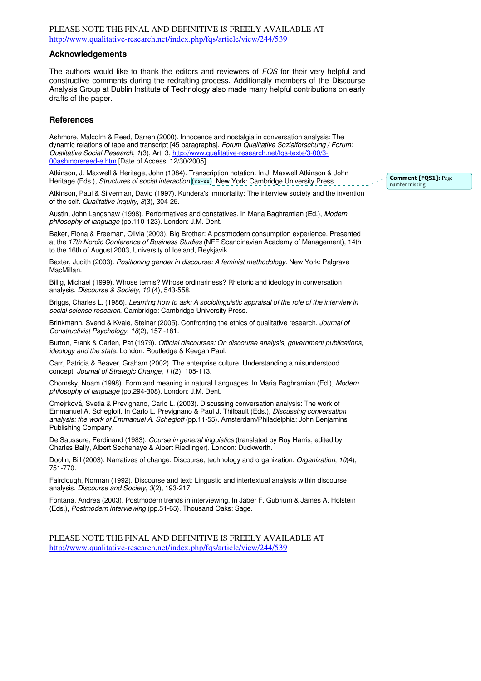#### **Acknowledgements**

The authors would like to thank the editors and reviewers of FQS for their very helpful and constructive comments during the redrafting process. Additionally members of the Discourse Analysis Group at Dublin Institute of Technology also made many helpful contributions on early drafts of the paper.

#### **References**

Ashmore, Malcolm & Reed, Darren (2000). Innocence and nostalgia in conversation analysis: The dynamic relations of tape and transcript [45 paragraphs]. Forum Qualitative Sozialforschung / Forum: Qualitative Social Research, 1(3), Art, 3, http://www.qualitative-research.net/fqs-texte/3-00/3- 00ashmorereed-e.htm [Date of Access: 12/30/2005].

Atkinson, J. Maxwell & Heritage, John (1984). Transcription notation. In J. Maxwell Atkinson & John Heritage (Eds.), Structures of social interaction (xx-xx). New York: Cambridge University Press.

Atkinson, Paul & Silverman, David (1997). Kundera's immortality: The interview society and the invention of the self. Qualitative Inquiry, 3(3), 304-25.

Austin, John Langshaw (1998). Performatives and constatives. In Maria Baghramian (Ed.), Modern philosophy of language (pp.110-123). London: J.M. Dent.

Baker, Fiona & Freeman, Olivia (2003). Big Brother: A postmodern consumption experience. Presented at the 17th Nordic Conference of Business Studies (NFF Scandinavian Academy of Management), 14th to the 16th of August 2003, University of Iceland, Reykjavik.

Baxter, Judith (2003). Positioning gender in discourse: A feminist methodology. New York: Palgrave MacMillan.

Billig, Michael (1999). Whose terms? Whose ordinariness? Rhetoric and ideology in conversation analysis. Discourse & Society, 10 (4), 543-558.

Briggs, Charles L. (1986). Learning how to ask: A sociolinguistic appraisal of the role of the interview in social science research. Cambridge: Cambridge University Press.

Brinkmann, Svend & Kvale, Steinar (2005). Confronting the ethics of qualitative research. Journal of Constructivist Psychology, 18(2), 157 -181.

Burton, Frank & Carlen, Pat (1979). Official discourses: On discourse analysis, government publications, ideology and the state. London: Routledge & Keegan Paul.

Carr, Patricia & Beaver, Graham (2002). The enterprise culture: Understanding a misunderstood concept. Journal of Strategic Change, 11(2), 105-113.

Chomsky, Noam (1998). Form and meaning in natural Languages. In Maria Baghramian (Ed.), Modern philosophy of language (pp.294-308). London: J.M. Dent.

Čmejrková, Svetla & Prevignano, Carlo L. (2003). Discussing conversation analysis: The work of Emmanuel A. Schegloff. In Carlo L. Prevignano & Paul J. Thilbault (Eds.), Discussing conversation analysis: the work of Emmanuel A. Schegloff (pp.11-55). Amsterdam/Philadelphia: John Benjamins Publishing Company.

De Saussure, Ferdinand (1983). Course in general linguistics (translated by Roy Harris, edited by Charles Bally, Albert Sechehaye & Albert Riedlinger). London: Duckworth.

Doolin, Bill (2003). Narratives of change: Discourse, technology and organization. Organization, 10(4), 751-770.

Fairclough, Norman (1992). Discourse and text: Lingustic and intertextual analysis within discourse analysis. Discourse and Society, 3(2), 193-217.

Fontana, Andrea (2003). Postmodern trends in interviewing. In Jaber F. Gubrium & James A. Holstein (Eds.), Postmodern interviewing (pp.51-65). Thousand Oaks: Sage.

PLEASE NOTE THE FINAL AND DEFINITIVE IS FREELY AVAILABLE AT http://www.qualitative-research.net/index.php/fqs/article/view/244/539

Comment [FOS1]: Page number missing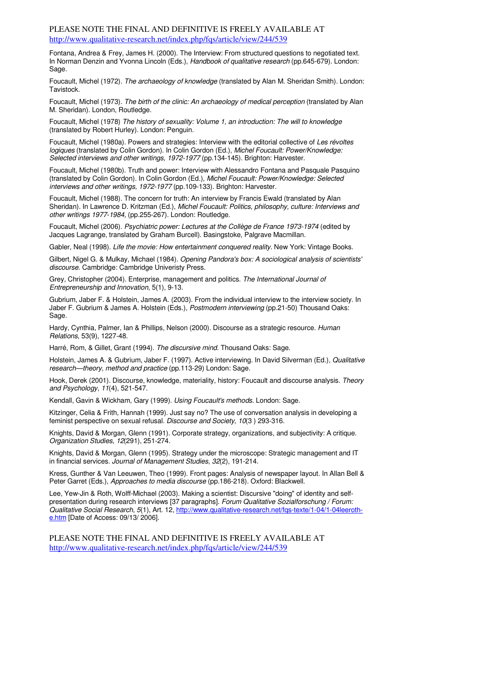Fontana, Andrea & Frey, James H. (2000). The Interview: From structured questions to negotiated text. In Norman Denzin and Yvonna Lincoln (Eds.), Handbook of qualitative research (pp.645-679). London: Sage.

Foucault, Michel (1972). The archaeology of knowledge (translated by Alan M. Sheridan Smith). London: Tavistock.

Foucault, Michel (1973). The birth of the clinic: An archaeology of medical perception (translated by Alan M. Sheridan). London, Routledge.

Foucault, Michel (1978) The history of sexuality: Volume 1, an introduction: The will to knowledge (translated by Robert Hurley). London: Penguin.

Foucault, Michel (1980a). Powers and strategies: Interview with the editorial collective of Les révoltes logiques (translated by Colin Gordon). In Colin Gordon (Ed.), Michel Foucault: Power/Knowledge: Selected interviews and other writings, 1972-1977 (pp.134-145). Brighton: Harvester.

Foucault, Michel (1980b). Truth and power: Interview with Alessandro Fontana and Pasquale Pasquino (translated by Colin Gordon). In Colin Gordon (Ed.), Michel Foucault: Power/Knowledge: Selected interviews and other writings, 1972-1977 (pp.109-133). Brighton: Harvester.

Foucault, Michel (1988). The concern for truth: An interview by Francis Ewald (translated by Alan Sheridan). In Lawrence D. Kritzman (Ed.), Michel Foucault: Politics, philosophy, culture: Interviews and other writings 1977-1984, (pp.255-267). London: Routledge.

Foucault, Michel (2006). Psychiatric power: Lectures at the Collège de France 1973-1974 (edited by Jacques Lagrange, translated by Graham Burcell). Basingstoke, Palgrave Macmillan.

Gabler, Neal (1998). Life the movie: How entertainment conquered reality. New York: Vintage Books.

Gilbert, Nigel G. & Mulkay, Michael (1984). Opening Pandora's box: A sociological analysis of scientists' discourse. Cambridge: Cambridge Univeristy Press.

Grey, Christopher (2004). Enterprise, management and politics. The International Journal of Entrepreneurship and Innovation, 5(1), 9-13.

Gubrium, Jaber F. & Holstein, James A. (2003). From the individual interview to the interview society. In Jaber F. Gubrium & James A. Holstein (Eds.), Postmodern interviewing (pp.21-50) Thousand Oaks: Sage.

Hardy, Cynthia, Palmer, Ian & Phillips, Nelson (2000). Discourse as a strategic resource. Human Relations, 53(9), 1227-48.

Harré, Rom, & Gillet, Grant (1994). The discursive mind. Thousand Oaks: Sage.

Holstein, James A. & Gubrium, Jaber F. (1997). Active interviewing. In David Silverman (Ed.), Qualitative research—theory, method and practice (pp.113-29) London: Sage.

Hook, Derek (2001). Discourse, knowledge, materiality, history: Foucault and discourse analysis. Theory and Psychology, 11(4), 521-547.

Kendall, Gavin & Wickham, Gary (1999). Using Foucault's methods. London: Sage.

Kitzinger, Celia & Frith, Hannah (1999). Just say no? The use of conversation analysis in developing a feminist perspective on sexual refusal. Discourse and Society, 10(3 ) 293-316.

Knights, David & Morgan, Glenn (1991). Corporate strategy, organizations, and subjectivity: A critique. Organization Studies, 12(291), 251-274.

Knights, David & Morgan, Glenn (1995). Strategy under the microscope: Strategic management and IT in financial services. Journal of Management Studies, 32(2), 191-214.

Kress, Gunther & Van Leeuwen, Theo (1999). Front pages: Analysis of newspaper layout. In Allan Bell & Peter Garret (Eds.), Approaches to media discourse (pp.186-218). Oxford: Blackwell.

Lee, Yew-Jin & Roth, Wolff-Michael (2003). Making a scientist: Discursive "doing" of identity and selfpresentation during research interviews [37 paragraphs]. Forum Qualitative Sozialforschung / Forum: Qualitative Social Research, 5(1), Art. 12, http://www.qualitative-research.net/fqs-texte/1-04/1-04leerothe.htm [Date of Access: 09/13/ 2006].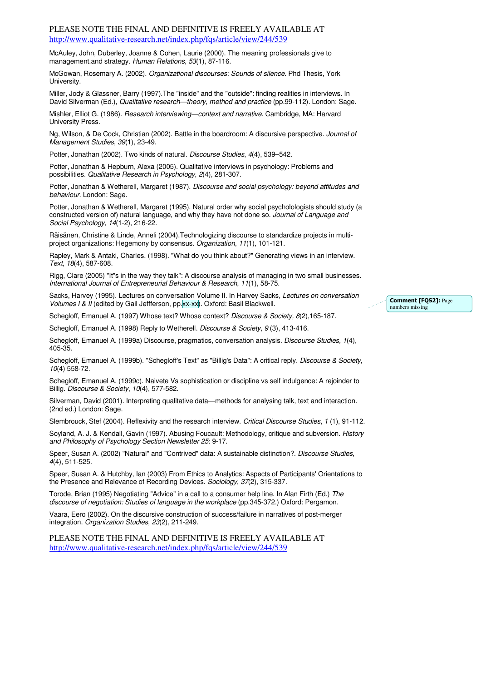McAuley, John, Duberley, Joanne & Cohen, Laurie (2000). The meaning professionals give to management.and strategy. Human Relations, 53(1), 87-116.

McGowan, Rosemary A. (2002). Organizational discourses: Sounds of silence. Phd Thesis, York University.

Miller, Jody & Glassner, Barry (1997).The "inside" and the "outside": finding realities in interviews. In David Silverman (Ed.), Qualitative research—theory, method and practice (pp.99-112). London: Sage.

Mishler, Elliot G. (1986). Research interviewing—context and narrative. Cambridge, MA: Harvard University Press.

Ng, Wilson, & De Cock, Christian (2002). Battle in the boardroom: A discursive perspective. Journal of Management Studies, 39(1), 23-49.

Potter, Jonathan (2002). Two kinds of natural. Discourse Studies, 4(4), 539-542.

Potter, Jonathan & Hepburn, Alexa (2005). Qualitative interviews in psychology: Problems and possibilities. Qualitative Research in Psychology, 2(4), 281-307.

Potter, Jonathan & Wetherell, Margaret (1987). Discourse and social psychology: beyond attitudes and behaviour. London: Sage.

Potter, Jonathan & Wetherell, Margaret (1995). Natural order why social psycholologists should study (a constructed version of) natural language, and why they have not done so. Journal of Language and Social Psychology, 14(1-2), 216-22.

Räisänen, Christine & Linde, Anneli (2004).Technologizing discourse to standardize projects in multiproject organizations: Hegemony by consensus. Organization, 11(1), 101-121.

Rapley, Mark & Antaki, Charles. (1998). "What do you think about?" Generating views in an interview. Text, 18(4), 587-608.

Rigg, Clare (2005) "It"s in the way they talk": A discourse analysis of managing in two small businesses. International Journal of Entrepreneurial Behaviour & Research, 11(1), 58-75.

Sacks, Harvey (1995). Lectures on conversation Volume II. In Harvey Sacks, Lectures on conversation Volumes I & II (edited by Gail Jeffferson, pp. xx-xx). Oxford: Basil Blackwell.

Schegloff, Emanuel A. (1997) Whose text? Whose context? Discourse & Society, 8(2),165-187.

Schegloff, Emanuel A. (1998) Reply to Wetherell. Discourse & Society, 9(3), 413-416.

Schegloff, Emanuel A. (1999a) Discourse, pragmatics, conversation analysis. Discourse Studies, 1(4), 405-35.

Schegloff, Emanuel A. (1999b). "Schegloff's Text" as "Billig's Data": A critical reply. Discourse & Society, 10(4) 558-72.

Schegloff, Emanuel A. (1999c). Naivete Vs sophistication or discipline vs self indulgence: A rejoinder to Billig. Discourse & Society, 10(4), 577-582.

Silverman, David (2001). Interpreting qualitative data—methods for analysing talk, text and interaction. (2nd ed.) London: Sage.

Slembrouck, Stef (2004). Reflexivity and the research interview. Critical Discourse Studies, 1 (1), 91-112.

Soyland, A. J. & Kendall, Gavin (1997). Abusing Foucault: Methodology, critique and subversion. History and Philosophy of Psychology Section Newsletter 25: 9-17.

Speer, Susan A. (2002) "Natural" and "Contrived" data: A sustainable distinction?. Discourse Studies, 4(4), 511-525.

Speer, Susan A. & Hutchby, Ian (2003) From Ethics to Analytics: Aspects of Participants' Orientations to the Presence and Relevance of Recording Devices. Sociology, 37(2), 315-337.

Torode, Brian (1995) Negotiating "Advice" in a call to a consumer help line. In Alan Firth (Ed.) The discourse of negotiation: Studies of language in the workplace (pp.345-372.) Oxford: Pergamon.

Vaara, Eero (2002). On the discursive construction of success/failure in narratives of post-merger integration. Organization Studies, 23(2), 211-249.

PLEASE NOTE THE FINAL AND DEFINITIVE IS FREELY AVAILABLE AT http://www.qualitative-research.net/index.php/fqs/article/view/244/539

Comment [FQS2]: Page numbers missing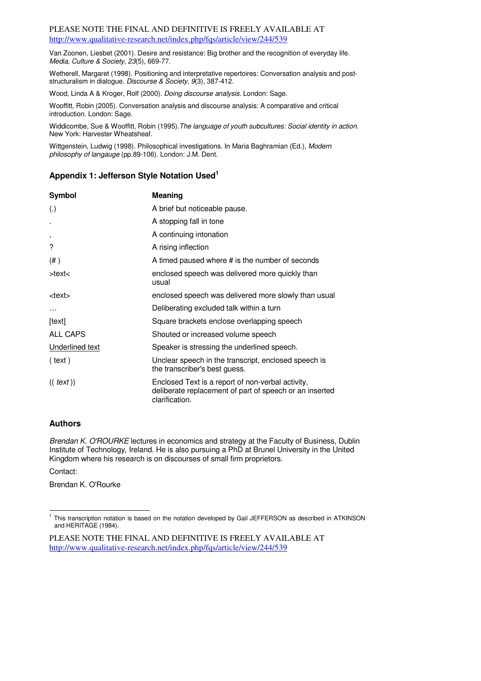Van Zoonen, Liesbet (2001). Desire and resistance: Big brother and the recognition of everyday life. Media, Culture & Society, 23(5), 669-77.

Wetherell, Margaret (1998). Positioning and interpretative repertoires: Conversation analysis and poststructuralism in dialogue. Discourse & Society, 9(3), 387-412.

Wood, Linda A & Kroger, Rolf (2000). Doing discourse analysis. London: Sage.

Wooffitt, Robin (2005). Conversation analysis and discourse analysis: A comparative and critical introduction. London: Sage.

Widdicombe, Sue & Wooffitt, Robin (1995). The language of youth subcultures: Social identity in action. New York: Harvester Wheatsheaf.

Wittgenstein, Ludwig (1998). Philosophical investigations. In Maria Baghramian (Ed.), Modern philosophy of langauge (pp.89-106). London: J.M. Dent.

# **Appendix 1: Jefferson Style Notation Used<sup>1</sup>**

| <b>Symbol</b>            | Meaning                                                                                                                        |
|--------------------------|--------------------------------------------------------------------------------------------------------------------------------|
| (.)                      | A brief but noticeable pause.                                                                                                  |
| $\cdot$                  | A stopping fall in tone                                                                                                        |
| $\overline{\phantom{a}}$ | A continuing intonation                                                                                                        |
| ?                        | A rising inflection                                                                                                            |
| $($ # $)$                | A timed paused where # is the number of seconds                                                                                |
| >text<                   | enclosed speech was delivered more quickly than<br>usual                                                                       |
| <text></text>            | enclosed speech was delivered more slowly than usual                                                                           |
|                          | Deliberating excluded talk within a turn                                                                                       |
| [text]                   | Square brackets enclose overlapping speech                                                                                     |
| ALL CAPS                 | Shouted or increased volume speech                                                                                             |
| Underlined text          | Speaker is stressing the underlined speech.                                                                                    |
| (text)                   | Unclear speech in the transcript, enclosed speech is<br>the transcriber's best guess.                                          |
| ((text)                  | Enclosed Text is a report of non-verbal activity,<br>deliberate replacement of part of speech or an inserted<br>clarification. |

# **Authors**

Brendan K. O'ROURKE lectures in economics and strategy at the Faculty of Business, Dublin Institute of Technology, Ireland. He is also pursuing a PhD at Brunel University in the United Kingdom where his research is on discourses of small firm proprietors.

Contact:

Brendan K. O'Rourke

 1 This transcription notation is based on the notation developed by Gail JEFFERSON as described in ATKINSON and HERITAGE (1984).

PLEASE NOTE THE FINAL AND DEFINITIVE IS FREELY AVAILABLE AT http://www.qualitative-research.net/index.php/fqs/article/view/244/539